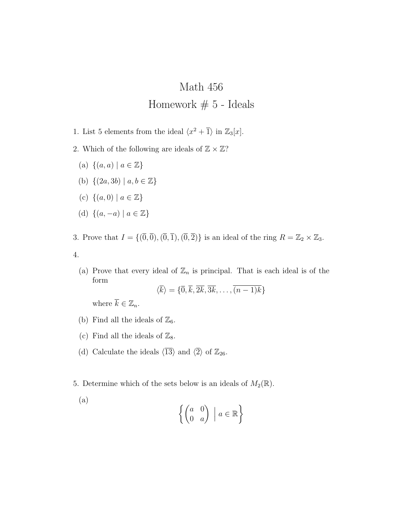## Math 456

## Homework # 5 - Ideals

- 1. List 5 elements from the ideal  $\langle x^2 + \overline{1} \rangle$  in  $\mathbb{Z}_3[x]$ .
- 2. Which of the following are ideals of  $\mathbb{Z} \times \mathbb{Z}$ ?
	- $(a) \{(a, a) | a \in \mathbb{Z}\}\$
	- (b)  $\{(2a, 3b) | a, b \in \mathbb{Z}\}\)$
	- (c)  $\{(a, 0) | a \in \mathbb{Z}\}\)$
	- (d) *{*(*a, −a*) *| a ∈* Z*}*
- 3. Prove that  $I = \{(\overline{0}, \overline{0}), (\overline{0}, \overline{1}), (\overline{0}, \overline{2})\}$  is an ideal of the ring  $R = \mathbb{Z}_2 \times \mathbb{Z}_3$ . 4.
	- (a) Prove that every ideal of  $\mathbb{Z}_n$  is principal. That is each ideal is of the form

$$
\langle k \rangle = \{ \overline{0}, k, 2k, 3k, \dots, (n-1)k \}
$$

where  $\overline{k} \in \mathbb{Z}_n$ .

- (b) Find all the ideals of  $\mathbb{Z}_6$ .
- (c) Find all the ideals of  $\mathbb{Z}_8$ .
- (d) Calculate the ideals  $\langle \overline{13} \rangle$  and  $\langle \overline{2} \rangle$  of  $\mathbb{Z}_{26}$ .
- 5. Determine which of the sets below is an ideals of  $M_2(\mathbb{R})$ .
	- (a)  $\int (a \ 0$ 0 *a*  $\Big) \mid a \in \mathbb{R}$  $\mathcal{L}$